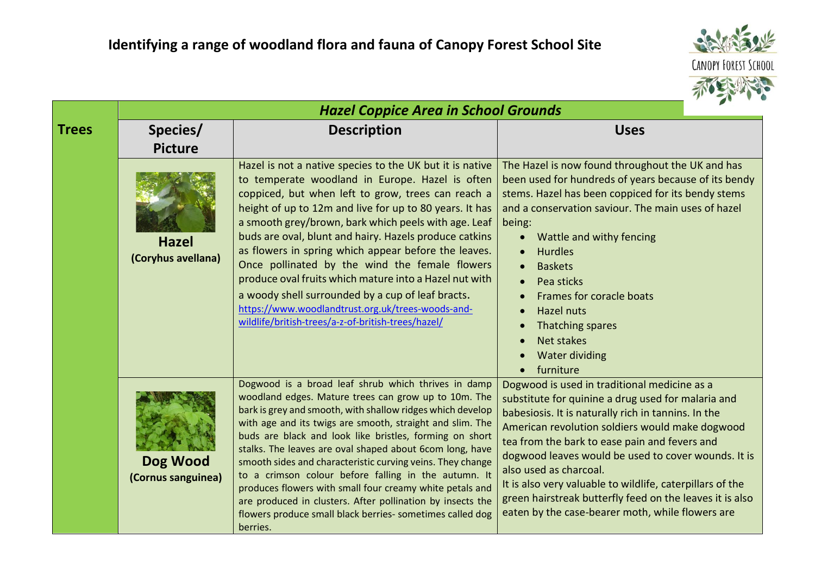

|              |                                    | <b>Hazel Coppice Area in School Grounds</b>                                                                                                                                                                                                                                                                                                                                                                                                                                                                                                                                                                                                                                            |                                                                                                                                                                                                                                                                                                                                                                                                                                                                                                                             |
|--------------|------------------------------------|----------------------------------------------------------------------------------------------------------------------------------------------------------------------------------------------------------------------------------------------------------------------------------------------------------------------------------------------------------------------------------------------------------------------------------------------------------------------------------------------------------------------------------------------------------------------------------------------------------------------------------------------------------------------------------------|-----------------------------------------------------------------------------------------------------------------------------------------------------------------------------------------------------------------------------------------------------------------------------------------------------------------------------------------------------------------------------------------------------------------------------------------------------------------------------------------------------------------------------|
| <b>Trees</b> | Species/                           | <b>Description</b>                                                                                                                                                                                                                                                                                                                                                                                                                                                                                                                                                                                                                                                                     | <b>Uses</b>                                                                                                                                                                                                                                                                                                                                                                                                                                                                                                                 |
|              | <b>Picture</b>                     |                                                                                                                                                                                                                                                                                                                                                                                                                                                                                                                                                                                                                                                                                        |                                                                                                                                                                                                                                                                                                                                                                                                                                                                                                                             |
|              | <b>Hazel</b><br>(Coryhus avellana) | Hazel is not a native species to the UK but it is native<br>to temperate woodland in Europe. Hazel is often<br>coppiced, but when left to grow, trees can reach a<br>height of up to 12m and live for up to 80 years. It has<br>a smooth grey/brown, bark which peels with age. Leaf<br>buds are oval, blunt and hairy. Hazels produce catkins<br>as flowers in spring which appear before the leaves.<br>Once pollinated by the wind the female flowers<br>produce oval fruits which mature into a Hazel nut with<br>a woody shell surrounded by a cup of leaf bracts.<br>https://www.woodlandtrust.org.uk/trees-woods-and-<br>wildlife/british-trees/a-z-of-british-trees/hazel/     | The Hazel is now found throughout the UK and has<br>been used for hundreds of years because of its bendy<br>stems. Hazel has been coppiced for its bendy stems<br>and a conservation saviour. The main uses of hazel<br>being:<br>Wattle and withy fencing<br>$\bullet$<br><b>Hurdles</b><br><b>Baskets</b><br>Pea sticks<br>Frames for coracle boats<br><b>Hazel nuts</b><br>Thatching spares<br>Net stakes<br><b>Water dividing</b><br>furniture<br>$\bullet$                                                             |
|              | Dog Wood<br>(Cornus sanguinea)     | Dogwood is a broad leaf shrub which thrives in damp<br>woodland edges. Mature trees can grow up to 10m. The<br>bark is grey and smooth, with shallow ridges which develop<br>with age and its twigs are smooth, straight and slim. The<br>buds are black and look like bristles, forming on short<br>stalks. The leaves are oval shaped about 6com long, have<br>smooth sides and characteristic curving veins. They change<br>to a crimson colour before falling in the autumn. It<br>produces flowers with small four creamy white petals and<br>are produced in clusters. After pollination by insects the<br>flowers produce small black berries- sometimes called dog<br>berries. | Dogwood is used in traditional medicine as a<br>substitute for quinine a drug used for malaria and<br>babesiosis. It is naturally rich in tannins. In the<br>American revolution soldiers would make dogwood<br>tea from the bark to ease pain and fevers and<br>dogwood leaves would be used to cover wounds. It is<br>also used as charcoal.<br>It is also very valuable to wildlife, caterpillars of the<br>green hairstreak butterfly feed on the leaves it is also<br>eaten by the case-bearer moth, while flowers are |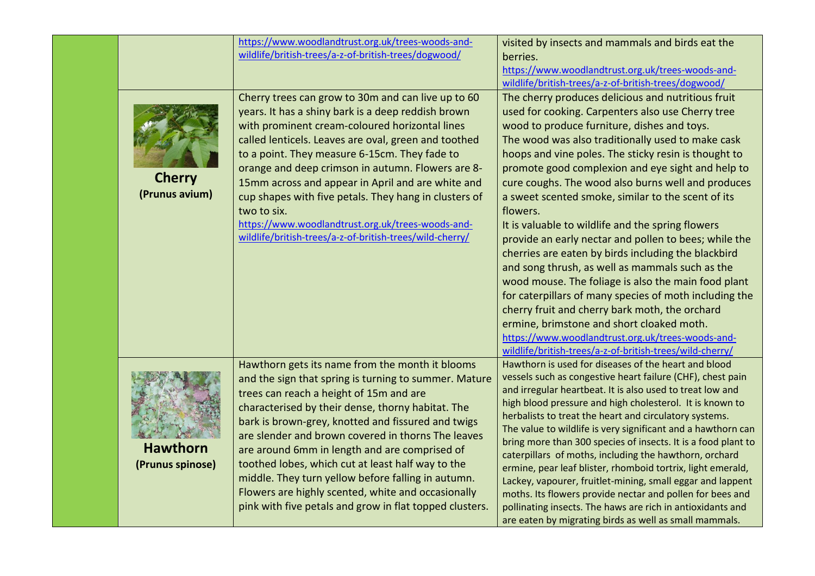|                                     | https://www.woodlandtrust.org.uk/trees-woods-and-<br>wildlife/british-trees/a-z-of-british-trees/dogwood/                                                                                                                                                                                                                                                                                                                                                                                                                                                                                         | visited by insects and mammals and birds eat the<br>berries.<br>https://www.woodlandtrust.org.uk/trees-woods-and-<br>wildlife/british-trees/a-z-of-british-trees/dogwood/                                                                                                                                                                                                                                                                                                                                                                                                                                                                                                                                                                                                                                                                                                                                                                                                                                 |
|-------------------------------------|---------------------------------------------------------------------------------------------------------------------------------------------------------------------------------------------------------------------------------------------------------------------------------------------------------------------------------------------------------------------------------------------------------------------------------------------------------------------------------------------------------------------------------------------------------------------------------------------------|-----------------------------------------------------------------------------------------------------------------------------------------------------------------------------------------------------------------------------------------------------------------------------------------------------------------------------------------------------------------------------------------------------------------------------------------------------------------------------------------------------------------------------------------------------------------------------------------------------------------------------------------------------------------------------------------------------------------------------------------------------------------------------------------------------------------------------------------------------------------------------------------------------------------------------------------------------------------------------------------------------------|
| <b>Cherry</b><br>(Prunus avium)     | Cherry trees can grow to 30m and can live up to 60<br>years. It has a shiny bark is a deep reddish brown<br>with prominent cream-coloured horizontal lines<br>called lenticels. Leaves are oval, green and toothed<br>to a point. They measure 6-15cm. They fade to<br>orange and deep crimson in autumn. Flowers are 8-<br>15mm across and appear in April and are white and<br>cup shapes with five petals. They hang in clusters of<br>two to six.<br>https://www.woodlandtrust.org.uk/trees-woods-and-<br>wildlife/british-trees/a-z-of-british-trees/wild-cherry/                            | The cherry produces delicious and nutritious fruit<br>used for cooking. Carpenters also use Cherry tree<br>wood to produce furniture, dishes and toys.<br>The wood was also traditionally used to make cask<br>hoops and vine poles. The sticky resin is thought to<br>promote good complexion and eye sight and help to<br>cure coughs. The wood also burns well and produces<br>a sweet scented smoke, similar to the scent of its<br>flowers.<br>It is valuable to wildlife and the spring flowers<br>provide an early nectar and pollen to bees; while the<br>cherries are eaten by birds including the blackbird<br>and song thrush, as well as mammals such as the<br>wood mouse. The foliage is also the main food plant<br>for caterpillars of many species of moth including the<br>cherry fruit and cherry bark moth, the orchard<br>ermine, brimstone and short cloaked moth.<br>https://www.woodlandtrust.org.uk/trees-woods-and-<br>wildlife/british-trees/a-z-of-british-trees/wild-cherry/ |
| <b>Hawthorn</b><br>(Prunus spinose) | Hawthorn gets its name from the month it blooms<br>and the sign that spring is turning to summer. Mature<br>trees can reach a height of 15m and are<br>characterised by their dense, thorny habitat. The<br>bark is brown-grey, knotted and fissured and twigs<br>are slender and brown covered in thorns The leaves<br>are around 6mm in length and are comprised of<br>toothed lobes, which cut at least half way to the<br>middle. They turn yellow before falling in autumn.<br>Flowers are highly scented, white and occasionally<br>pink with five petals and grow in flat topped clusters. | Hawthorn is used for diseases of the heart and blood<br>vessels such as congestive heart failure (CHF), chest pain<br>and irregular heartbeat. It is also used to treat low and<br>high blood pressure and high cholesterol. It is known to<br>herbalists to treat the heart and circulatory systems.<br>The value to wildlife is very significant and a hawthorn can<br>bring more than 300 species of insects. It is a food plant to<br>caterpillars of moths, including the hawthorn, orchard<br>ermine, pear leaf blister, rhomboid tortrix, light emerald,<br>Lackey, vapourer, fruitlet-mining, small eggar and lappent<br>moths. Its flowers provide nectar and pollen for bees and<br>pollinating insects. The haws are rich in antioxidants and<br>are eaten by migrating birds as well as small mammals.                                                                                                                                                                                        |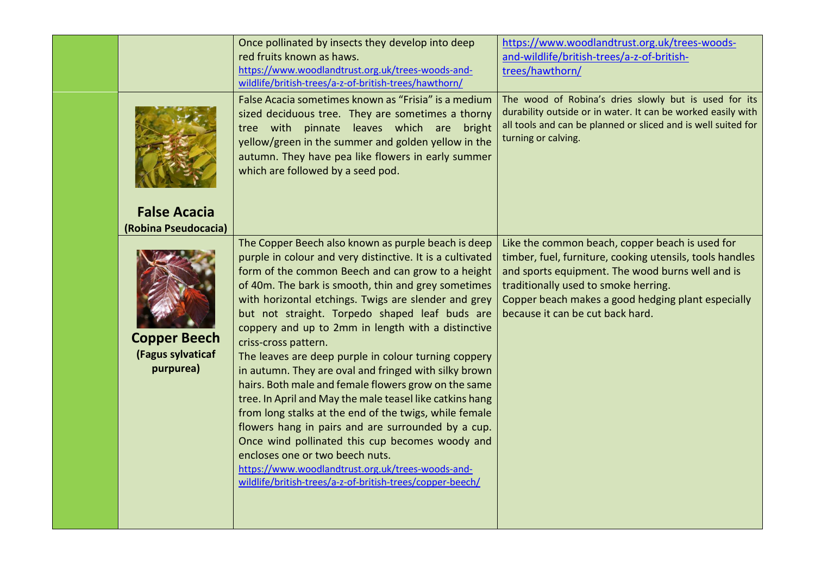|                                                       | Once pollinated by insects they develop into deep<br>red fruits known as haws.<br>https://www.woodlandtrust.org.uk/trees-woods-and-<br>wildlife/british-trees/a-z-of-british-trees/hawthorn/                                                                                                                                                                                                                                                                                                                                                                                                                                                                                                                                                                                                                                                                                                                                                                                      | https://www.woodlandtrust.org.uk/trees-woods-<br>and-wildlife/british-trees/a-z-of-british-<br>trees/hawthorn/                                                                                                                                                                                    |
|-------------------------------------------------------|-----------------------------------------------------------------------------------------------------------------------------------------------------------------------------------------------------------------------------------------------------------------------------------------------------------------------------------------------------------------------------------------------------------------------------------------------------------------------------------------------------------------------------------------------------------------------------------------------------------------------------------------------------------------------------------------------------------------------------------------------------------------------------------------------------------------------------------------------------------------------------------------------------------------------------------------------------------------------------------|---------------------------------------------------------------------------------------------------------------------------------------------------------------------------------------------------------------------------------------------------------------------------------------------------|
| <b>False Acacia</b><br>(Robina Pseudocacia)           | False Acacia sometimes known as "Frisia" is a medium<br>sized deciduous tree. They are sometimes a thorny<br>tree with pinnate leaves which are<br>bright<br>yellow/green in the summer and golden yellow in the<br>autumn. They have pea like flowers in early summer<br>which are followed by a seed pod.                                                                                                                                                                                                                                                                                                                                                                                                                                                                                                                                                                                                                                                                       | The wood of Robina's dries slowly but is used for its<br>durability outside or in water. It can be worked easily with<br>all tools and can be planned or sliced and is well suited for<br>turning or calving.                                                                                     |
| <b>Copper Beech</b><br>(Fagus sylvaticaf<br>purpurea) | The Copper Beech also known as purple beach is deep<br>purple in colour and very distinctive. It is a cultivated<br>form of the common Beech and can grow to a height<br>of 40m. The bark is smooth, thin and grey sometimes<br>with horizontal etchings. Twigs are slender and grey<br>but not straight. Torpedo shaped leaf buds are<br>coppery and up to 2mm in length with a distinctive<br>criss-cross pattern.<br>The leaves are deep purple in colour turning coppery<br>in autumn. They are oval and fringed with silky brown<br>hairs. Both male and female flowers grow on the same<br>tree. In April and May the male teasel like catkins hang<br>from long stalks at the end of the twigs, while female<br>flowers hang in pairs and are surrounded by a cup.<br>Once wind pollinated this cup becomes woody and<br>encloses one or two beech nuts.<br>https://www.woodlandtrust.org.uk/trees-woods-and-<br>wildlife/british-trees/a-z-of-british-trees/copper-beech/ | Like the common beach, copper beach is used for<br>timber, fuel, furniture, cooking utensils, tools handles<br>and sports equipment. The wood burns well and is<br>traditionally used to smoke herring.<br>Copper beach makes a good hedging plant especially<br>because it can be cut back hard. |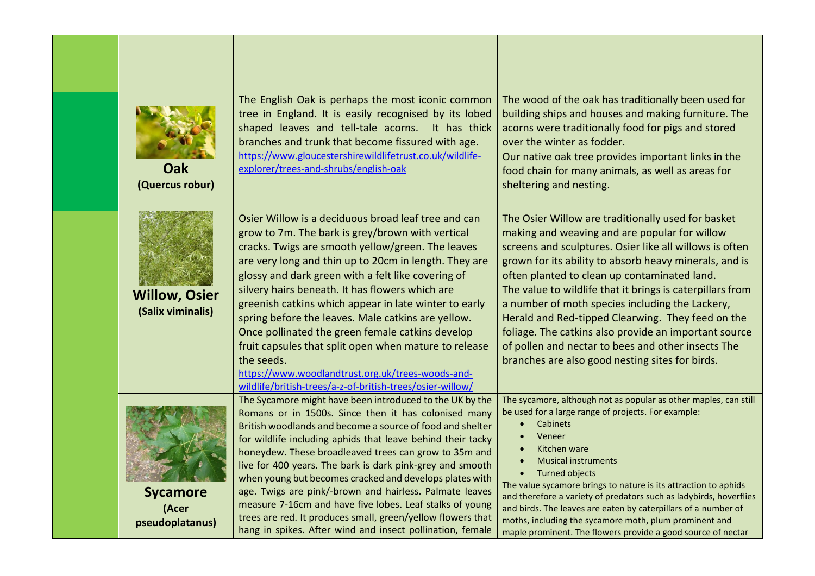| Oak<br>(Quercus robur)                      | The English Oak is perhaps the most iconic common<br>tree in England. It is easily recognised by its lobed<br>shaped leaves and tell-tale acorns. It has thick<br>branches and trunk that become fissured with age.<br>https://www.gloucestershirewildlifetrust.co.uk/wildlife-<br>explorer/trees-and-shrubs/english-oak                                                                                                                                                                                                                                                                                                                                                                   | The wood of the oak has traditionally been used for<br>building ships and houses and making furniture. The<br>acorns were traditionally food for pigs and stored<br>over the winter as fodder.<br>Our native oak tree provides important links in the<br>food chain for many animals, as well as areas for<br>sheltering and nesting.                                                                                                                                                                                                                                                                           |
|---------------------------------------------|--------------------------------------------------------------------------------------------------------------------------------------------------------------------------------------------------------------------------------------------------------------------------------------------------------------------------------------------------------------------------------------------------------------------------------------------------------------------------------------------------------------------------------------------------------------------------------------------------------------------------------------------------------------------------------------------|-----------------------------------------------------------------------------------------------------------------------------------------------------------------------------------------------------------------------------------------------------------------------------------------------------------------------------------------------------------------------------------------------------------------------------------------------------------------------------------------------------------------------------------------------------------------------------------------------------------------|
| <b>Willow, Osier</b><br>(Salix viminalis)   | Osier Willow is a deciduous broad leaf tree and can<br>grow to 7m. The bark is grey/brown with vertical<br>cracks. Twigs are smooth yellow/green. The leaves<br>are very long and thin up to 20cm in length. They are<br>glossy and dark green with a felt like covering of<br>silvery hairs beneath. It has flowers which are<br>greenish catkins which appear in late winter to early<br>spring before the leaves. Male catkins are yellow.<br>Once pollinated the green female catkins develop<br>fruit capsules that split open when mature to release<br>the seeds.<br>https://www.woodlandtrust.org.uk/trees-woods-and-<br>wildlife/british-trees/a-z-of-british-trees/osier-willow/ | The Osier Willow are traditionally used for basket<br>making and weaving and are popular for willow<br>screens and sculptures. Osier like all willows is often<br>grown for its ability to absorb heavy minerals, and is<br>often planted to clean up contaminated land.<br>The value to wildlife that it brings is caterpillars from<br>a number of moth species including the Lackery,<br>Herald and Red-tipped Clearwing. They feed on the<br>foliage. The catkins also provide an important source<br>of pollen and nectar to bees and other insects The<br>branches are also good nesting sites for birds. |
| <b>Sycamore</b><br>(Acer<br>pseudoplatanus) | The Sycamore might have been introduced to the UK by the<br>Romans or in 1500s. Since then it has colonised many<br>British woodlands and become a source of food and shelter<br>for wildlife including aphids that leave behind their tacky<br>honeydew. These broadleaved trees can grow to 35m and<br>live for 400 years. The bark is dark pink-grey and smooth<br>when young but becomes cracked and develops plates with<br>age. Twigs are pink/-brown and hairless. Palmate leaves<br>measure 7-16cm and have five lobes. Leaf stalks of young<br>trees are red. It produces small, green/yellow flowers that<br>hang in spikes. After wind and insect pollination, female           | The sycamore, although not as popular as other maples, can still<br>be used for a large range of projects. For example:<br>Cabinets<br>Veneer<br>$\bullet$<br>Kitchen ware<br>$\bullet$<br><b>Musical instruments</b><br><b>Turned objects</b><br>$\bullet$<br>The value sycamore brings to nature is its attraction to aphids<br>and therefore a variety of predators such as ladybirds, hoverflies<br>and birds. The leaves are eaten by caterpillars of a number of<br>moths, including the sycamore moth, plum prominent and<br>maple prominent. The flowers provide a good source of nectar                |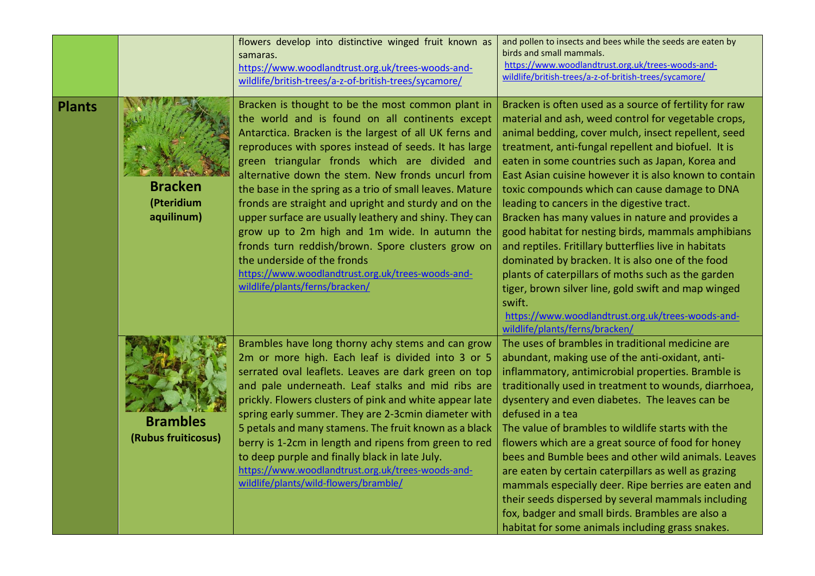|               |                                            | flowers develop into distinctive winged fruit known as<br>samaras.<br>https://www.woodlandtrust.org.uk/trees-woods-and-<br>wildlife/british-trees/a-z-of-british-trees/sycamore/                                                                                                                                                                                                                                                                                                                                                                                                                                                                                                                                                         | and pollen to insects and bees while the seeds are eaten by<br>birds and small mammals.<br>https://www.woodlandtrust.org.uk/trees-woods-and-<br>wildlife/british-trees/a-z-of-british-trees/sycamore/                                                                                                                                                                                                                                                                                                                                                                                                                                                                                                                                                                                                                                                                         |
|---------------|--------------------------------------------|------------------------------------------------------------------------------------------------------------------------------------------------------------------------------------------------------------------------------------------------------------------------------------------------------------------------------------------------------------------------------------------------------------------------------------------------------------------------------------------------------------------------------------------------------------------------------------------------------------------------------------------------------------------------------------------------------------------------------------------|-------------------------------------------------------------------------------------------------------------------------------------------------------------------------------------------------------------------------------------------------------------------------------------------------------------------------------------------------------------------------------------------------------------------------------------------------------------------------------------------------------------------------------------------------------------------------------------------------------------------------------------------------------------------------------------------------------------------------------------------------------------------------------------------------------------------------------------------------------------------------------|
| <b>Plants</b> | <b>Bracken</b><br>(Pteridium<br>aquilinum) | Bracken is thought to be the most common plant in<br>the world and is found on all continents except<br>Antarctica. Bracken is the largest of all UK ferns and<br>reproduces with spores instead of seeds. It has large<br>green triangular fronds which are divided and<br>alternative down the stem. New fronds uncurl from<br>the base in the spring as a trio of small leaves. Mature<br>fronds are straight and upright and sturdy and on the<br>upper surface are usually leathery and shiny. They can<br>grow up to 2m high and 1m wide. In autumn the<br>fronds turn reddish/brown. Spore clusters grow on<br>the underside of the fronds<br>https://www.woodlandtrust.org.uk/trees-woods-and-<br>wildlife/plants/ferns/bracken/ | Bracken is often used as a source of fertility for raw<br>material and ash, weed control for vegetable crops,<br>animal bedding, cover mulch, insect repellent, seed<br>treatment, anti-fungal repellent and biofuel. It is<br>eaten in some countries such as Japan, Korea and<br>East Asian cuisine however it is also known to contain<br>toxic compounds which can cause damage to DNA<br>leading to cancers in the digestive tract.<br>Bracken has many values in nature and provides a<br>good habitat for nesting birds, mammals amphibians<br>and reptiles. Fritillary butterflies live in habitats<br>dominated by bracken. It is also one of the food<br>plants of caterpillars of moths such as the garden<br>tiger, brown silver line, gold swift and map winged<br>swift.<br>https://www.woodlandtrust.org.uk/trees-woods-and-<br>wildlife/plants/ferns/bracken/ |
|               | <b>Brambles</b><br>(Rubus fruiticosus)     | Brambles have long thorny achy stems and can grow<br>2m or more high. Each leaf is divided into 3 or 5<br>serrated oval leaflets. Leaves are dark green on top<br>and pale underneath. Leaf stalks and mid ribs are<br>prickly. Flowers clusters of pink and white appear late<br>spring early summer. They are 2-3cmin diameter with<br>5 petals and many stamens. The fruit known as a black<br>berry is 1-2cm in length and ripens from green to red<br>to deep purple and finally black in late July.<br>https://www.woodlandtrust.org.uk/trees-woods-and-<br>wildlife/plants/wild-flowers/bramble/                                                                                                                                  | The uses of brambles in traditional medicine are<br>abundant, making use of the anti-oxidant, anti-<br>inflammatory, antimicrobial properties. Bramble is<br>traditionally used in treatment to wounds, diarrhoea,<br>dysentery and even diabetes. The leaves can be<br>defused in a tea<br>The value of brambles to wildlife starts with the<br>flowers which are a great source of food for honey<br>bees and Bumble bees and other wild animals. Leaves<br>are eaten by certain caterpillars as well as grazing<br>mammals especially deer. Ripe berries are eaten and<br>their seeds dispersed by several mammals including<br>fox, badger and small birds. Brambles are also a<br>habitat for some animals including grass snakes.                                                                                                                                       |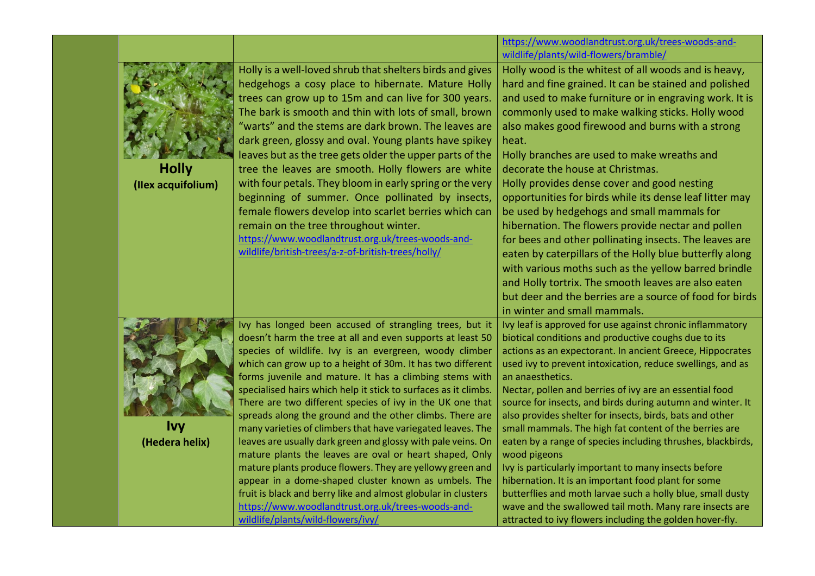|                                    |                                                                                                                                                                                                                                                                                                                                                                                                                                                                                                                                                                                                                                                                                                                                                                                                                                                                                                                                                                                 | https://www.woodlandtrust.org.uk/trees-woods-and-<br>wildlife/plants/wild-flowers/bramble/                                                                                                                                                                                                                                                                                                                                                                                                                                                                                                                                                                                                                                                                                                                                                                                                                               |
|------------------------------------|---------------------------------------------------------------------------------------------------------------------------------------------------------------------------------------------------------------------------------------------------------------------------------------------------------------------------------------------------------------------------------------------------------------------------------------------------------------------------------------------------------------------------------------------------------------------------------------------------------------------------------------------------------------------------------------------------------------------------------------------------------------------------------------------------------------------------------------------------------------------------------------------------------------------------------------------------------------------------------|--------------------------------------------------------------------------------------------------------------------------------------------------------------------------------------------------------------------------------------------------------------------------------------------------------------------------------------------------------------------------------------------------------------------------------------------------------------------------------------------------------------------------------------------------------------------------------------------------------------------------------------------------------------------------------------------------------------------------------------------------------------------------------------------------------------------------------------------------------------------------------------------------------------------------|
| <b>Holly</b><br>(Ilex acquifolium) | Holly is a well-loved shrub that shelters birds and gives<br>hedgehogs a cosy place to hibernate. Mature Holly<br>trees can grow up to 15m and can live for 300 years.<br>The bark is smooth and thin with lots of small, brown<br>"warts" and the stems are dark brown. The leaves are<br>dark green, glossy and oval. Young plants have spikey<br>leaves but as the tree gets older the upper parts of the<br>tree the leaves are smooth. Holly flowers are white<br>with four petals. They bloom in early spring or the very<br>beginning of summer. Once pollinated by insects,<br>female flowers develop into scarlet berries which can<br>remain on the tree throughout winter.<br>https://www.woodlandtrust.org.uk/trees-woods-and-<br>wildlife/british-trees/a-z-of-british-trees/holly/                                                                                                                                                                                | Holly wood is the whitest of all woods and is heavy,<br>hard and fine grained. It can be stained and polished<br>and used to make furniture or in engraving work. It is<br>commonly used to make walking sticks. Holly wood<br>also makes good firewood and burns with a strong<br>heat.<br>Holly branches are used to make wreaths and<br>decorate the house at Christmas.<br>Holly provides dense cover and good nesting<br>opportunities for birds while its dense leaf litter may<br>be used by hedgehogs and small mammals for<br>hibernation. The flowers provide nectar and pollen<br>for bees and other pollinating insects. The leaves are<br>eaten by caterpillars of the Holly blue butterfly along<br>with various moths such as the yellow barred brindle<br>and Holly tortrix. The smooth leaves are also eaten<br>but deer and the berries are a source of food for birds<br>in winter and small mammals. |
| <b>Ivy</b><br>(Hedera helix)       | Ivy has longed been accused of strangling trees, but it<br>doesn't harm the tree at all and even supports at least 50<br>species of wildlife. Ivy is an evergreen, woody climber<br>which can grow up to a height of 30m. It has two different<br>forms juvenile and mature. It has a climbing stems with<br>specialised hairs which help it stick to surfaces as it climbs.<br>There are two different species of ivy in the UK one that<br>spreads along the ground and the other climbs. There are<br>many varieties of climbers that have variegated leaves. The<br>leaves are usually dark green and glossy with pale veins. On<br>mature plants the leaves are oval or heart shaped, Only<br>mature plants produce flowers. They are yellowy green and<br>appear in a dome-shaped cluster known as umbels. The<br>fruit is black and berry like and almost globular in clusters<br>https://www.woodlandtrust.org.uk/trees-woods-and-<br>wildlife/plants/wild-flowers/ivy/ | Ivy leaf is approved for use against chronic inflammatory<br>biotical conditions and productive coughs due to its<br>actions as an expectorant. In ancient Greece, Hippocrates<br>used ivy to prevent intoxication, reduce swellings, and as<br>an anaesthetics.<br>Nectar, pollen and berries of ivy are an essential food<br>source for insects, and birds during autumn and winter. It<br>also provides shelter for insects, birds, bats and other<br>small mammals. The high fat content of the berries are<br>eaten by a range of species including thrushes, blackbirds,<br>wood pigeons<br>Ivy is particularly important to many insects before<br>hibernation. It is an important food plant for some<br>butterflies and moth larvae such a holly blue, small dusty<br>wave and the swallowed tail moth. Many rare insects are<br>attracted to ivy flowers including the golden hover-fly.                       |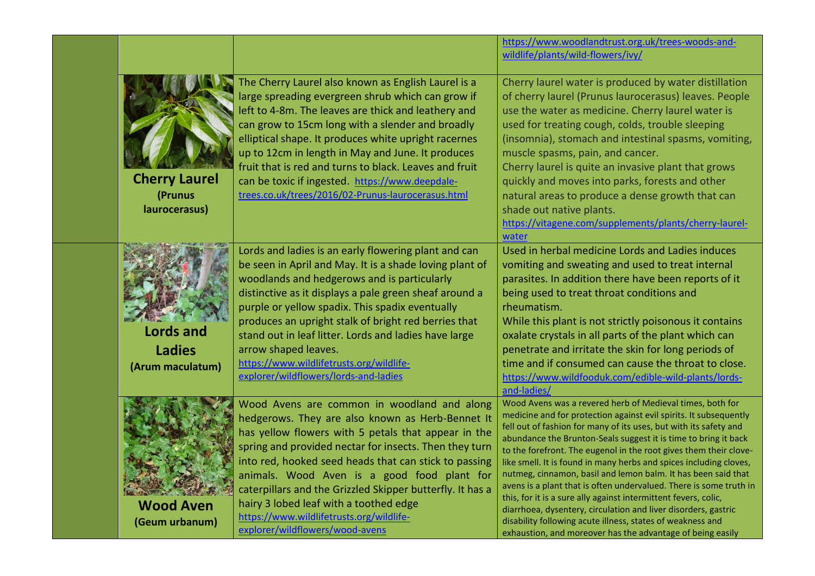|                                                       |                                                                                                                                                                                                                                                                                                                                                                                                                                                                                                                | https://www.woodlandtrust.org.uk/trees-woods-and-<br>wildlife/plants/wild-flowers/ivy/                                                                                                                                                                                                                                                                                                                                                                                                                                                                                                                                                                                                                                                                                                                                    |
|-------------------------------------------------------|----------------------------------------------------------------------------------------------------------------------------------------------------------------------------------------------------------------------------------------------------------------------------------------------------------------------------------------------------------------------------------------------------------------------------------------------------------------------------------------------------------------|---------------------------------------------------------------------------------------------------------------------------------------------------------------------------------------------------------------------------------------------------------------------------------------------------------------------------------------------------------------------------------------------------------------------------------------------------------------------------------------------------------------------------------------------------------------------------------------------------------------------------------------------------------------------------------------------------------------------------------------------------------------------------------------------------------------------------|
| <b>Cherry Laurel</b><br>(Prunus<br>laurocerasus)      | The Cherry Laurel also known as English Laurel is a<br>large spreading evergreen shrub which can grow if<br>left to 4-8m. The leaves are thick and leathery and<br>can grow to 15cm long with a slender and broadly<br>elliptical shape. It produces white upright racernes<br>up to 12cm in length in May and June. It produces<br>fruit that is red and turns to black. Leaves and fruit<br>can be toxic if ingested. https://www.deepdale-<br>trees.co.uk/trees/2016/02-Prunus-laurocerasus.html            | Cherry laurel water is produced by water distillation<br>of cherry laurel (Prunus laurocerasus) leaves. People<br>use the water as medicine. Cherry laurel water is<br>used for treating cough, colds, trouble sleeping<br>(insomnia), stomach and intestinal spasms, vomiting,<br>muscle spasms, pain, and cancer.<br>Cherry laurel is quite an invasive plant that grows<br>quickly and moves into parks, forests and other<br>natural areas to produce a dense growth that can<br>shade out native plants.<br>https://vitagene.com/supplements/plants/cherry-laurel-<br>water                                                                                                                                                                                                                                          |
| <b>Lords and</b><br><b>Ladies</b><br>(Arum maculatum) | Lords and ladies is an early flowering plant and can<br>be seen in April and May. It is a shade loving plant of<br>woodlands and hedgerows and is particularly<br>distinctive as it displays a pale green sheaf around a<br>purple or yellow spadix. This spadix eventually<br>produces an upright stalk of bright red berries that<br>stand out in leaf litter. Lords and ladies have large<br>arrow shaped leaves.<br>https://www.wildlifetrusts.org/wildlife-<br>explorer/wildflowers/lords-and-ladies      | Used in herbal medicine Lords and Ladies induces<br>vomiting and sweating and used to treat internal<br>parasites. In addition there have been reports of it<br>being used to treat throat conditions and<br>rheumatism.<br>While this plant is not strictly poisonous it contains<br>oxalate crystals in all parts of the plant which can<br>penetrate and irritate the skin for long periods of<br>time and if consumed can cause the throat to close.<br>https://www.wildfooduk.com/edible-wild-plants/lords-<br>and-ladies/                                                                                                                                                                                                                                                                                           |
| <b>Wood Aven</b><br>(Geum urbanum)                    | Wood Avens are common in woodland and along<br>hedgerows. They are also known as Herb-Bennet It<br>has yellow flowers with 5 petals that appear in the<br>spring and provided nectar for insects. Then they turn<br>into red, hooked seed heads that can stick to passing<br>animals. Wood Aven is a good food plant for<br>caterpillars and the Grizzled Skipper butterfly. It has a<br>hairy 3 lobed leaf with a toothed edge<br>https://www.wildlifetrusts.org/wildlife-<br>explorer/wildflowers/wood-avens | Wood Avens was a revered herb of Medieval times, both for<br>medicine and for protection against evil spirits. It subsequently<br>fell out of fashion for many of its uses, but with its safety and<br>abundance the Brunton-Seals suggest it is time to bring it back<br>to the forefront. The eugenol in the root gives them their clove-<br>like smell. It is found in many herbs and spices including cloves,<br>nutmeg, cinnamon, basil and lemon balm. It has been said that<br>avens is a plant that is often undervalued. There is some truth in<br>this, for it is a sure ally against intermittent fevers, colic,<br>diarrhoea, dysentery, circulation and liver disorders, gastric<br>disability following acute illness, states of weakness and<br>exhaustion, and moreover has the advantage of being easily |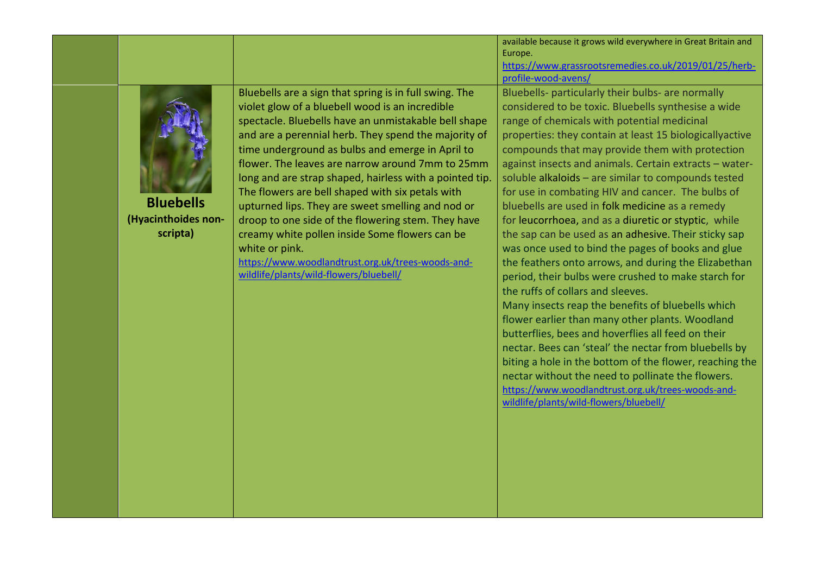|                                                     |                                                                                                                                                                                                                                                                                                                                                                                                                                                                                                                                                                                                                                                                                                                                | available because it grows wild everywhere in Great Britain and                                                                                                                                                                                                                                                                                                                                                                                                                                                                                                                                                                                                                                                                                                                                                                                                                                                                                                                                                                                           |
|-----------------------------------------------------|--------------------------------------------------------------------------------------------------------------------------------------------------------------------------------------------------------------------------------------------------------------------------------------------------------------------------------------------------------------------------------------------------------------------------------------------------------------------------------------------------------------------------------------------------------------------------------------------------------------------------------------------------------------------------------------------------------------------------------|-----------------------------------------------------------------------------------------------------------------------------------------------------------------------------------------------------------------------------------------------------------------------------------------------------------------------------------------------------------------------------------------------------------------------------------------------------------------------------------------------------------------------------------------------------------------------------------------------------------------------------------------------------------------------------------------------------------------------------------------------------------------------------------------------------------------------------------------------------------------------------------------------------------------------------------------------------------------------------------------------------------------------------------------------------------|
|                                                     |                                                                                                                                                                                                                                                                                                                                                                                                                                                                                                                                                                                                                                                                                                                                | https://www.grassrootsremedies.co.uk/2019/01/25/herb-                                                                                                                                                                                                                                                                                                                                                                                                                                                                                                                                                                                                                                                                                                                                                                                                                                                                                                                                                                                                     |
|                                                     |                                                                                                                                                                                                                                                                                                                                                                                                                                                                                                                                                                                                                                                                                                                                | profile-wood-avens/                                                                                                                                                                                                                                                                                                                                                                                                                                                                                                                                                                                                                                                                                                                                                                                                                                                                                                                                                                                                                                       |
| <b>Bluebells</b><br>(Hyacinthoides non-<br>scripta) | Bluebells are a sign that spring is in full swing. The<br>violet glow of a bluebell wood is an incredible<br>spectacle. Bluebells have an unmistakable bell shape<br>and are a perennial herb. They spend the majority of<br>time underground as bulbs and emerge in April to<br>flower. The leaves are narrow around 7mm to 25mm<br>long and are strap shaped, hairless with a pointed tip.<br>The flowers are bell shaped with six petals with<br>upturned lips. They are sweet smelling and nod or<br>droop to one side of the flowering stem. They have<br>creamy white pollen inside Some flowers can be<br>white or pink.<br>https://www.woodlandtrust.org.uk/trees-woods-and-<br>wildlife/plants/wild-flowers/bluebell/ | Europe.<br>Bluebells- particularly their bulbs- are normally<br>considered to be toxic. Bluebells synthesise a wide<br>range of chemicals with potential medicinal<br>properties: they contain at least 15 biologicallyactive<br>compounds that may provide them with protection<br>against insects and animals. Certain extracts - water-<br>soluble alkaloids - are similar to compounds tested<br>for use in combating HIV and cancer. The bulbs of<br>bluebells are used in folk medicine as a remedy<br>for leucorrhoea, and as a diuretic or styptic, while<br>the sap can be used as an adhesive. Their sticky sap<br>was once used to bind the pages of books and glue<br>the feathers onto arrows, and during the Elizabethan<br>period, their bulbs were crushed to make starch for<br>the ruffs of collars and sleeves.<br>Many insects reap the benefits of bluebells which<br>flower earlier than many other plants. Woodland<br>butterflies, bees and hoverflies all feed on their<br>nectar. Bees can 'steal' the nectar from bluebells by |
|                                                     |                                                                                                                                                                                                                                                                                                                                                                                                                                                                                                                                                                                                                                                                                                                                | biting a hole in the bottom of the flower, reaching the<br>nectar without the need to pollinate the flowers.<br>https://www.woodlandtrust.org.uk/trees-woods-and-<br>wildlife/plants/wild-flowers/bluebell/                                                                                                                                                                                                                                                                                                                                                                                                                                                                                                                                                                                                                                                                                                                                                                                                                                               |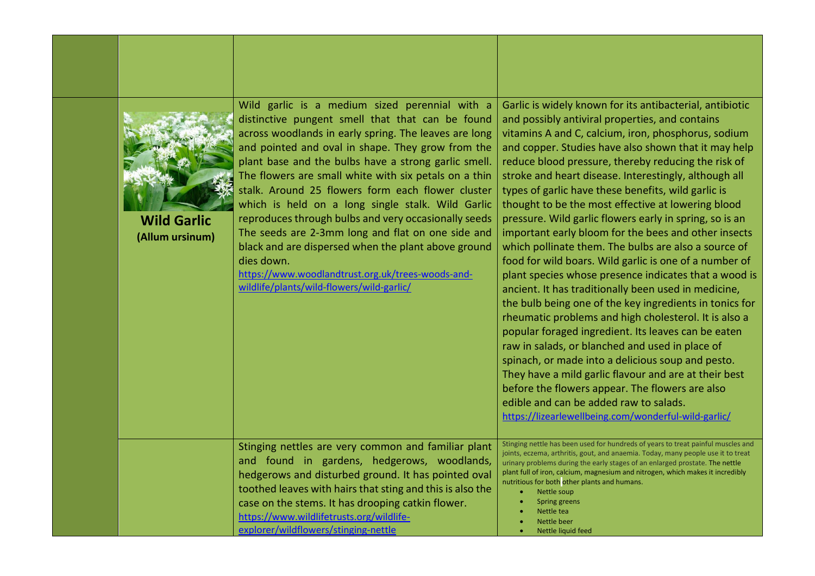| <b>Wild Garlic</b><br>(Allum ursinum) | Wild garlic is a medium sized perennial with a<br>distinctive pungent smell that that can be found<br>across woodlands in early spring. The leaves are long<br>and pointed and oval in shape. They grow from the<br>plant base and the bulbs have a strong garlic smell.<br>The flowers are small white with six petals on a thin<br>stalk. Around 25 flowers form each flower cluster<br>which is held on a long single stalk. Wild Garlic<br>reproduces through bulbs and very occasionally seeds<br>The seeds are 2-3mm long and flat on one side and<br>black and are dispersed when the plant above ground<br>dies down.<br>https://www.woodlandtrust.org.uk/trees-woods-and-<br>wildlife/plants/wild-flowers/wild-garlic/ | Garlic is widely known for its antibacterial, antibiotic<br>and possibly antiviral properties, and contains<br>vitamins A and C, calcium, iron, phosphorus, sodium<br>and copper. Studies have also shown that it may help<br>reduce blood pressure, thereby reducing the risk of<br>stroke and heart disease. Interestingly, although all<br>types of garlic have these benefits, wild garlic is<br>thought to be the most effective at lowering blood<br>pressure. Wild garlic flowers early in spring, so is an<br>important early bloom for the bees and other insects<br>which pollinate them. The bulbs are also a source of<br>food for wild boars. Wild garlic is one of a number of<br>plant species whose presence indicates that a wood is<br>ancient. It has traditionally been used in medicine,<br>the bulb being one of the key ingredients in tonics for<br>rheumatic problems and high cholesterol. It is also a<br>popular foraged ingredient. Its leaves can be eaten<br>raw in salads, or blanched and used in place of<br>spinach, or made into a delicious soup and pesto.<br>They have a mild garlic flavour and are at their best<br>before the flowers appear. The flowers are also<br>edible and can be added raw to salads.<br>https://lizearlewellbeing.com/wonderful-wild-garlic/ |
|---------------------------------------|---------------------------------------------------------------------------------------------------------------------------------------------------------------------------------------------------------------------------------------------------------------------------------------------------------------------------------------------------------------------------------------------------------------------------------------------------------------------------------------------------------------------------------------------------------------------------------------------------------------------------------------------------------------------------------------------------------------------------------|----------------------------------------------------------------------------------------------------------------------------------------------------------------------------------------------------------------------------------------------------------------------------------------------------------------------------------------------------------------------------------------------------------------------------------------------------------------------------------------------------------------------------------------------------------------------------------------------------------------------------------------------------------------------------------------------------------------------------------------------------------------------------------------------------------------------------------------------------------------------------------------------------------------------------------------------------------------------------------------------------------------------------------------------------------------------------------------------------------------------------------------------------------------------------------------------------------------------------------------------------------------------------------------------------------------|
|                                       | Stinging nettles are very common and familiar plant<br>and found in gardens, hedgerows, woodlands,<br>hedgerows and disturbed ground. It has pointed oval<br>toothed leaves with hairs that sting and this is also the<br>case on the stems. It has drooping catkin flower.<br>https://www.wildlifetrusts.org/wildlife-<br>explorer/wildflowers/stinging-nettle                                                                                                                                                                                                                                                                                                                                                                 | Stinging nettle has been used for hundreds of years to treat painful muscles and<br>joints, eczema, arthritis, gout, and anaemia. Today, many people use it to treat<br>urinary problems during the early stages of an enlarged prostate. The nettle<br>plant full of iron, calcium, magnesium and nitrogen, which makes it incredibly<br>nutritious for both other plants and humans.<br>$\bullet$<br>Nettle soup<br>Spring greens<br>Nettle tea<br>Nettle beer<br>Nettle liquid feed                                                                                                                                                                                                                                                                                                                                                                                                                                                                                                                                                                                                                                                                                                                                                                                                                         |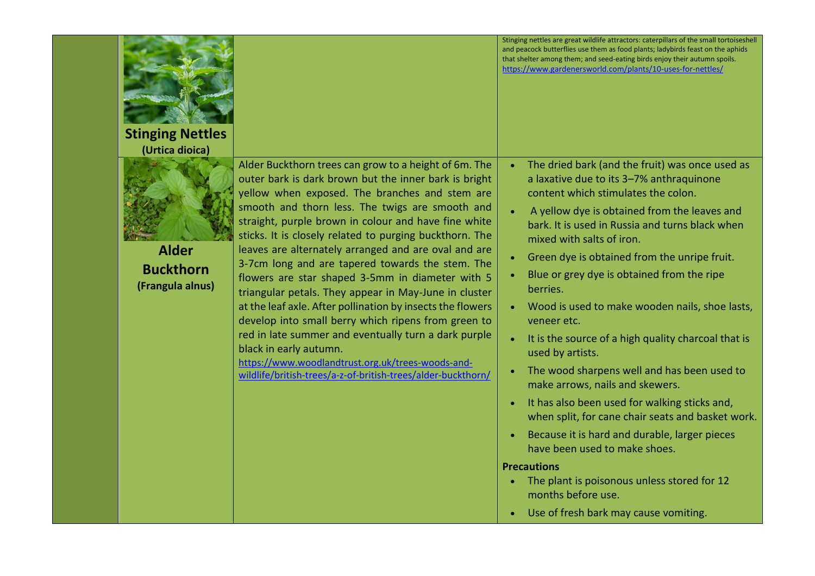| <b>Stinging Nettles</b><br>(Urtica dioica)           |                                                                                                                                                                                                                                                                                                                                                                                                                                                                                                                                                                                                                                                                                                                                                                                                                                                                                             | Stinging nettles are great wildlife attractors: caterpillars of the small tortoiseshell<br>and peacock butterflies use them as food plants; ladybirds feast on the aphids<br>that shelter among them; and seed-eating birds enjoy their autumn spoils.<br>https://www.gardenersworld.com/plants/10-uses-for-nettles/                                                                                                                                                                                                                                                                                                                                                                                                                                                                                                                                                                                                                   |
|------------------------------------------------------|---------------------------------------------------------------------------------------------------------------------------------------------------------------------------------------------------------------------------------------------------------------------------------------------------------------------------------------------------------------------------------------------------------------------------------------------------------------------------------------------------------------------------------------------------------------------------------------------------------------------------------------------------------------------------------------------------------------------------------------------------------------------------------------------------------------------------------------------------------------------------------------------|----------------------------------------------------------------------------------------------------------------------------------------------------------------------------------------------------------------------------------------------------------------------------------------------------------------------------------------------------------------------------------------------------------------------------------------------------------------------------------------------------------------------------------------------------------------------------------------------------------------------------------------------------------------------------------------------------------------------------------------------------------------------------------------------------------------------------------------------------------------------------------------------------------------------------------------|
| <b>Alder</b><br><b>Buckthorn</b><br>(Frangula alnus) | Alder Buckthorn trees can grow to a height of 6m. The<br>outer bark is dark brown but the inner bark is bright<br>yellow when exposed. The branches and stem are<br>smooth and thorn less. The twigs are smooth and<br>straight, purple brown in colour and have fine white<br>sticks. It is closely related to purging buckthorn. The<br>leaves are alternately arranged and are oval and are<br>3-7cm long and are tapered towards the stem. The<br>flowers are star shaped 3-5mm in diameter with 5<br>triangular petals. They appear in May-June in cluster<br>at the leaf axle. After pollination by insects the flowers<br>develop into small berry which ripens from green to<br>red in late summer and eventually turn a dark purple<br>black in early autumn.<br>https://www.woodlandtrust.org.uk/trees-woods-and-<br>wildlife/british-trees/a-z-of-british-trees/alder-buckthorn/ | The dried bark (and the fruit) was once used as<br>a laxative due to its 3-7% anthraquinone<br>content which stimulates the colon.<br>A yellow dye is obtained from the leaves and<br>bark. It is used in Russia and turns black when<br>mixed with salts of iron.<br>Green dye is obtained from the unripe fruit.<br>Blue or grey dye is obtained from the ripe<br>berries.<br>Wood is used to make wooden nails, shoe lasts,<br>veneer etc.<br>It is the source of a high quality charcoal that is<br>used by artists.<br>The wood sharpens well and has been used to<br>make arrows, nails and skewers.<br>It has also been used for walking sticks and,<br>when split, for cane chair seats and basket work.<br>Because it is hard and durable, larger pieces<br>have been used to make shoes.<br><b>Precautions</b><br>The plant is poisonous unless stored for 12<br>months before use.<br>Use of fresh bark may cause vomiting. |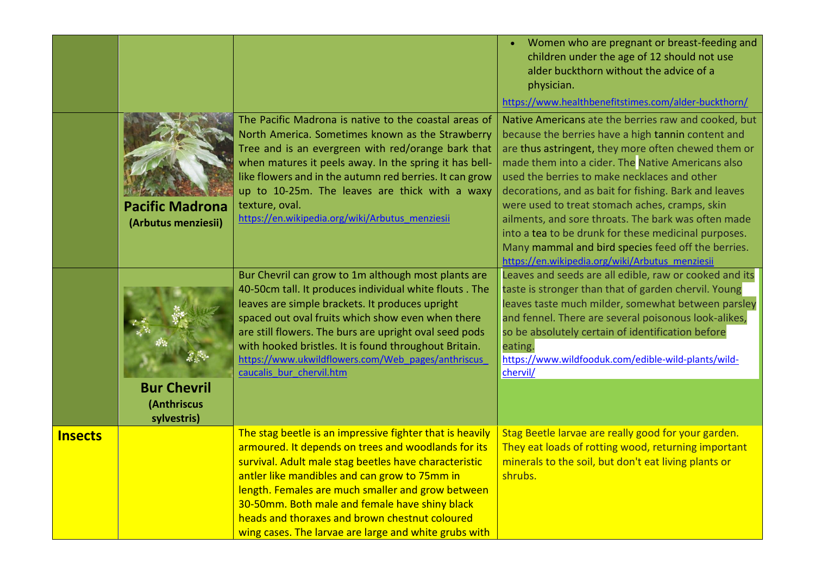|                |                                                  |                                                                                                                                                                                                                                                                                                                                                                                                                                             | Women who are pregnant or breast-feeding and<br>children under the age of 12 should not use<br>alder buckthorn without the advice of a<br>physician.                                                                                                                                                                                                                              |
|----------------|--------------------------------------------------|---------------------------------------------------------------------------------------------------------------------------------------------------------------------------------------------------------------------------------------------------------------------------------------------------------------------------------------------------------------------------------------------------------------------------------------------|-----------------------------------------------------------------------------------------------------------------------------------------------------------------------------------------------------------------------------------------------------------------------------------------------------------------------------------------------------------------------------------|
|                |                                                  |                                                                                                                                                                                                                                                                                                                                                                                                                                             | https://www.healthbenefitstimes.com/alder-buckthorn/                                                                                                                                                                                                                                                                                                                              |
|                |                                                  | The Pacific Madrona is native to the coastal areas of<br>North America. Sometimes known as the Strawberry<br>Tree and is an evergreen with red/orange bark that<br>when matures it peels away. In the spring it has bell-<br>like flowers and in the autumn red berries. It can grow<br>up to 10-25m. The leaves are thick with a waxy<br>texture, oval.                                                                                    | Native Americans ate the berries raw and cooked, but<br>because the berries have a high tannin content and<br>are thus astringent, they more often chewed them or<br>made them into a cider. The Native Americans also<br>used the berries to make necklaces and other<br>decorations, and as bait for fishing. Bark and leaves<br>were used to treat stomach aches, cramps, skin |
|                | <b>Pacific Madrona</b><br>(Arbutus menziesii)    | https://en.wikipedia.org/wiki/Arbutus menziesii                                                                                                                                                                                                                                                                                                                                                                                             | ailments, and sore throats. The bark was often made<br>into a tea to be drunk for these medicinal purposes.<br>Many mammal and bird species feed off the berries.<br>https://en.wikipedia.org/wiki/Arbutus menziesii                                                                                                                                                              |
|                | <b>Bur Chevril</b><br>(Anthriscus<br>sylvestris) | Bur Chevril can grow to 1m although most plants are<br>40-50cm tall. It produces individual white flouts . The<br>leaves are simple brackets. It produces upright<br>spaced out oval fruits which show even when there<br>are still flowers. The burs are upright oval seed pods<br>with hooked bristles. It is found throughout Britain.<br>https://www.ukwildflowers.com/Web_pages/anthriscus<br>caucalis bur chervil.htm                 | Leaves and seeds are all edible, raw or cooked and its<br>taste is stronger than that of garden chervil. Young<br>leaves taste much milder, somewhat between parsley<br>and fennel. There are several poisonous look-alikes,<br>so be absolutely certain of identification before<br>eating.<br>https://www.wildfooduk.com/edible-wild-plants/wild-<br>chervil/                   |
| <b>Insects</b> |                                                  | The stag beetle is an impressive fighter that is heavily<br>armoured. It depends on trees and woodlands for its<br>survival. Adult male stag beetles have characteristic<br>antler like mandibles and can grow to 75mm in<br>length. Females are much smaller and grow between<br>30-50mm. Both male and female have shiny black<br>heads and thoraxes and brown chestnut coloured<br>wing cases. The larvae are large and white grubs with | Stag Beetle larvae are really good for your garden.<br>They eat loads of rotting wood, returning important<br>minerals to the soil, but don't eat living plants or<br>shrubs.                                                                                                                                                                                                     |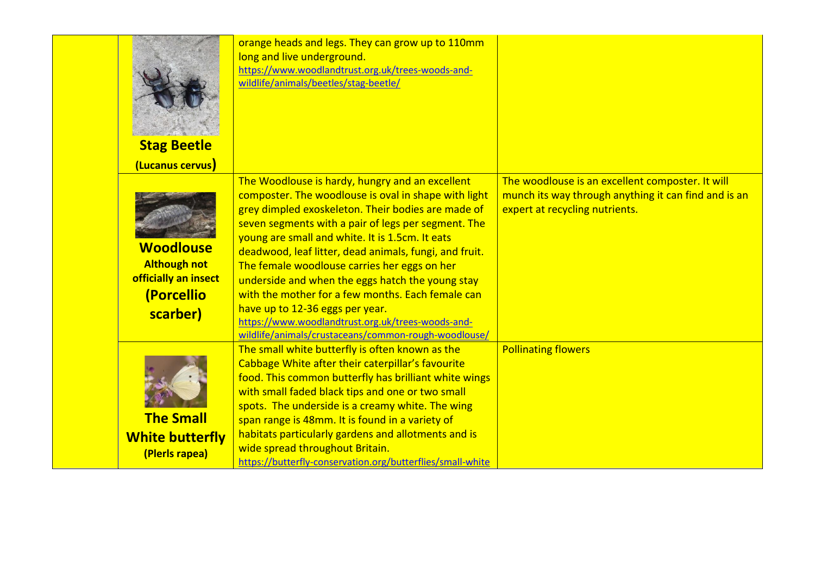| <b>Stag Beetle</b><br>(Lucanus cervus)                                                    | orange heads and legs. They can grow up to 110mm<br>long and live underground.<br>https://www.woodlandtrust.org.uk/trees-woods-and-<br>wildlife/animals/beetles/stag-beetle/                                                                                                                                                                                                                                                                                                                                                                                                                                                               |                                                                                                                                            |
|-------------------------------------------------------------------------------------------|--------------------------------------------------------------------------------------------------------------------------------------------------------------------------------------------------------------------------------------------------------------------------------------------------------------------------------------------------------------------------------------------------------------------------------------------------------------------------------------------------------------------------------------------------------------------------------------------------------------------------------------------|--------------------------------------------------------------------------------------------------------------------------------------------|
| <b>Woodlouse</b><br><b>Although not</b><br>officially an insect<br>(Porcellio<br>scarber) | The Woodlouse is hardy, hungry and an excellent<br>composter. The woodlouse is oval in shape with light<br>grey dimpled exoskeleton. Their bodies are made of<br>seven segments with a pair of legs per segment. The<br>young are small and white. It is 1.5cm. It eats<br>deadwood, leaf litter, dead animals, fungi, and fruit.<br>The female woodlouse carries her eggs on her<br>underside and when the eggs hatch the young stay<br>with the mother for a few months. Each female can<br>have up to 12-36 eggs per year.<br>https://www.woodlandtrust.org.uk/trees-woods-and-<br>wildlife/animals/crustaceans/common-rough-woodlouse/ | The woodlouse is an excellent composter. It will<br>munch its way through anything it can find and is an<br>expert at recycling nutrients. |
| <b>The Small</b><br><b>White butterfly</b><br>(Plerls rapea)                              | The small white butterfly is often known as the<br>Cabbage White after their caterpillar's favourite<br>food. This common butterfly has brilliant white wings<br>with small faded black tips and one or two small<br>spots. The underside is a creamy white. The wing<br>span range is 48mm. It is found in a variety of<br>habitats particularly gardens and allotments and is<br>wide spread throughout Britain.<br>https://butterfly-conservation.org/butterflies/small-white                                                                                                                                                           | <b>Pollinating flowers</b>                                                                                                                 |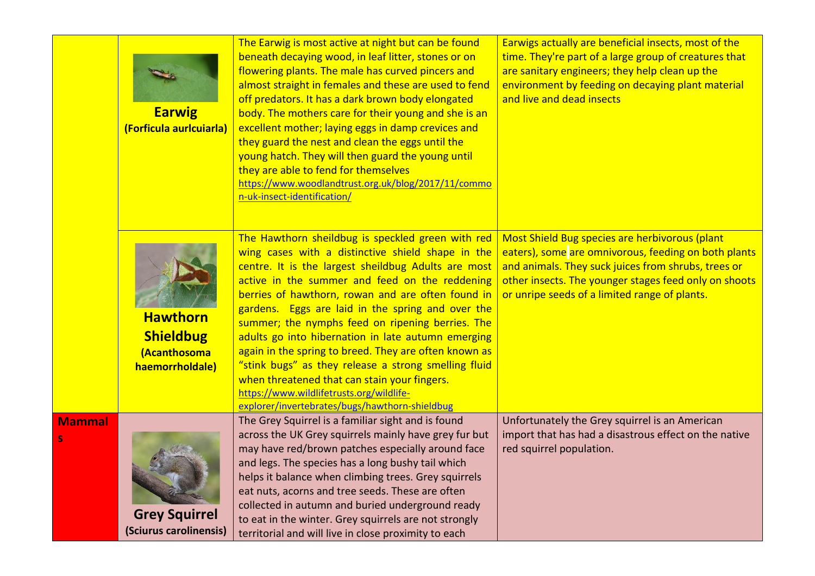|               | <b>Earwig</b><br>(Forficula auricuiaria)                               | The Earwig is most active at night but can be found<br>beneath decaying wood, in leaf litter, stones or on<br>flowering plants. The male has curved pincers and<br>almost straight in females and these are used to fend<br>off predators. It has a dark brown body elongated<br>body. The mothers care for their young and she is an<br>excellent mother; laying eggs in damp crevices and<br>they guard the nest and clean the eggs until the<br>young hatch. They will then guard the young until<br>they are able to fend for themselves<br>https://www.woodlandtrust.org.uk/blog/2017/11/commo<br>n-uk-insect-identification/                                                                 | Earwigs actually are beneficial insects, most of the<br>time. They're part of a large group of creatures that<br>are sanitary engineers; they help clean up the<br>environment by feeding on decaying plant material<br>and live and dead insects                       |
|---------------|------------------------------------------------------------------------|----------------------------------------------------------------------------------------------------------------------------------------------------------------------------------------------------------------------------------------------------------------------------------------------------------------------------------------------------------------------------------------------------------------------------------------------------------------------------------------------------------------------------------------------------------------------------------------------------------------------------------------------------------------------------------------------------|-------------------------------------------------------------------------------------------------------------------------------------------------------------------------------------------------------------------------------------------------------------------------|
|               | <b>Hawthorn</b><br><b>Shieldbug</b><br>(Acanthosoma<br>haemorrholdale) | The Hawthorn sheildbug is speckled green with red<br>wing cases with a distinctive shield shape in the<br>centre. It is the largest sheildbug Adults are most<br>active in the summer and feed on the reddening<br>berries of hawthorn, rowan and are often found in<br>gardens. Eggs are laid in the spring and over the<br>summer; the nymphs feed on ripening berries. The<br>adults go into hibernation in late autumn emerging<br>again in the spring to breed. They are often known as<br>"stink bugs" as they release a strong smelling fluid<br>when threatened that can stain your fingers.<br>https://www.wildlifetrusts.org/wildlife-<br>explorer/invertebrates/bugs/hawthorn-shieldbug | Most Shield Bug species are herbivorous (plant<br>eaters), some are omnivorous, feeding on both plants<br>and animals. They suck juices from shrubs, trees or<br>other insects. The younger stages feed only on shoots<br>or unripe seeds of a limited range of plants. |
| <b>Mammal</b> | <b>Grey Squirrel</b><br>(Sciurus carolinensis)                         | The Grey Squirrel is a familiar sight and is found<br>across the UK Grey squirrels mainly have grey fur but<br>may have red/brown patches especially around face<br>and legs. The species has a long bushy tail which<br>helps it balance when climbing trees. Grey squirrels<br>eat nuts, acorns and tree seeds. These are often<br>collected in autumn and buried underground ready<br>to eat in the winter. Grey squirrels are not strongly<br>territorial and will live in close proximity to each                                                                                                                                                                                             | Unfortunately the Grey squirrel is an American<br>import that has had a disastrous effect on the native<br>red squirrel population.                                                                                                                                     |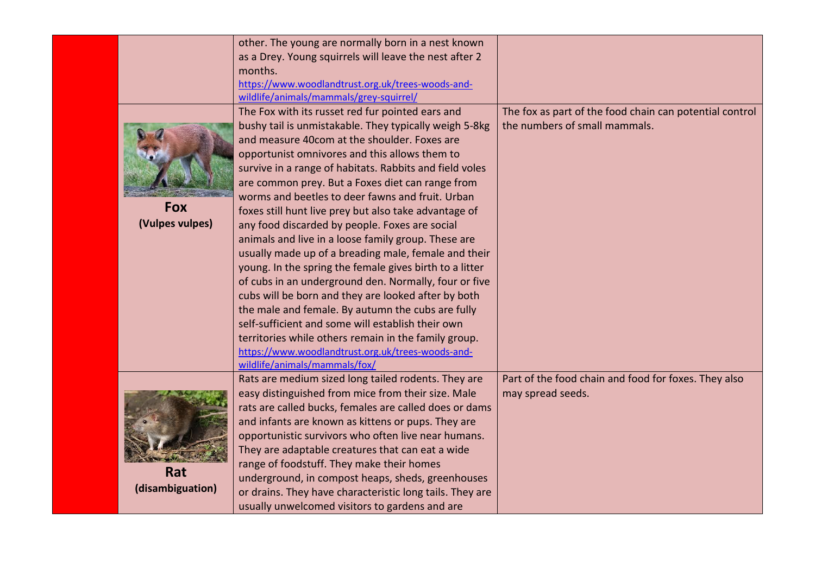|                  | other. The young are normally born in a nest known       |                                                         |
|------------------|----------------------------------------------------------|---------------------------------------------------------|
|                  | as a Drey. Young squirrels will leave the nest after 2   |                                                         |
|                  | months.                                                  |                                                         |
|                  | https://www.woodlandtrust.org.uk/trees-woods-and-        |                                                         |
|                  | wildlife/animals/mammals/grey-squirrel/                  |                                                         |
|                  | The Fox with its russet red fur pointed ears and         | The fox as part of the food chain can potential control |
|                  | bushy tail is unmistakable. They typically weigh 5-8kg   | the numbers of small mammals.                           |
|                  | and measure 40com at the shoulder. Foxes are             |                                                         |
|                  | opportunist omnivores and this allows them to            |                                                         |
|                  | survive in a range of habitats. Rabbits and field voles  |                                                         |
|                  | are common prey. But a Foxes diet can range from         |                                                         |
|                  | worms and beetles to deer fawns and fruit. Urban         |                                                         |
| <b>Fox</b>       | foxes still hunt live prey but also take advantage of    |                                                         |
| (Vulpes vulpes)  | any food discarded by people. Foxes are social           |                                                         |
|                  | animals and live in a loose family group. These are      |                                                         |
|                  | usually made up of a breading male, female and their     |                                                         |
|                  | young. In the spring the female gives birth to a litter  |                                                         |
|                  | of cubs in an underground den. Normally, four or five    |                                                         |
|                  | cubs will be born and they are looked after by both      |                                                         |
|                  | the male and female. By autumn the cubs are fully        |                                                         |
|                  | self-sufficient and some will establish their own        |                                                         |
|                  | territories while others remain in the family group.     |                                                         |
|                  | https://www.woodlandtrust.org.uk/trees-woods-and-        |                                                         |
|                  | wildlife/animals/mammals/fox/                            |                                                         |
|                  | Rats are medium sized long tailed rodents. They are      | Part of the food chain and food for foxes. They also    |
|                  | easy distinguished from mice from their size. Male       | may spread seeds.                                       |
|                  | rats are called bucks, females are called does or dams   |                                                         |
|                  | and infants are known as kittens or pups. They are       |                                                         |
|                  | opportunistic survivors who often live near humans.      |                                                         |
|                  | They are adaptable creatures that can eat a wide         |                                                         |
|                  | range of foodstuff. They make their homes                |                                                         |
| Rat              | underground, in compost heaps, sheds, greenhouses        |                                                         |
| (disambiguation) |                                                          |                                                         |
|                  | or drains. They have characteristic long tails. They are |                                                         |
|                  | usually unwelcomed visitors to gardens and are           |                                                         |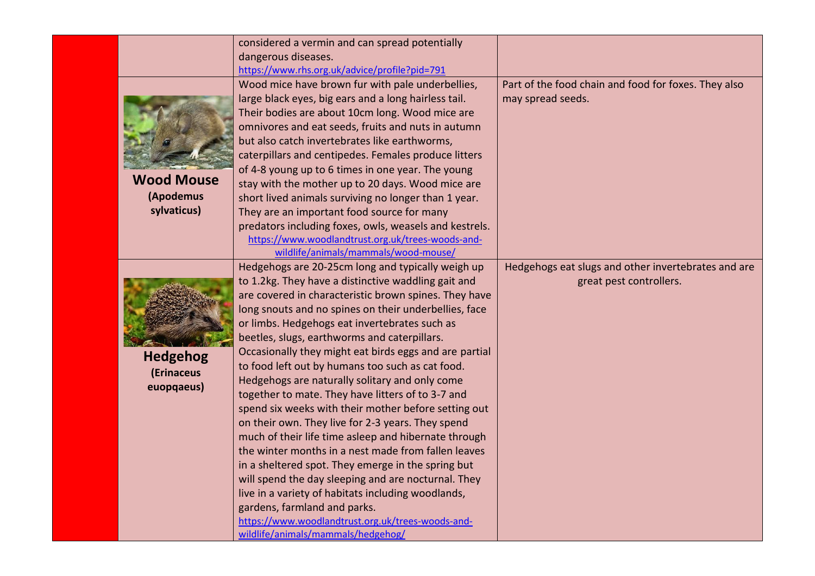|                   | considered a vermin and can spread potentially         |                                                      |
|-------------------|--------------------------------------------------------|------------------------------------------------------|
|                   | dangerous diseases.                                    |                                                      |
|                   | https://www.rhs.org.uk/advice/profile?pid=791          |                                                      |
|                   | Wood mice have brown fur with pale underbellies,       | Part of the food chain and food for foxes. They also |
|                   | large black eyes, big ears and a long hairless tail.   | may spread seeds.                                    |
|                   | Their bodies are about 10cm long. Wood mice are        |                                                      |
|                   | omnivores and eat seeds, fruits and nuts in autumn     |                                                      |
|                   | but also catch invertebrates like earthworms,          |                                                      |
|                   | caterpillars and centipedes. Females produce litters   |                                                      |
|                   | of 4-8 young up to 6 times in one year. The young      |                                                      |
| <b>Wood Mouse</b> | stay with the mother up to 20 days. Wood mice are      |                                                      |
| (Apodemus         | short lived animals surviving no longer than 1 year.   |                                                      |
| sylvaticus)       | They are an important food source for many             |                                                      |
|                   | predators including foxes, owls, weasels and kestrels. |                                                      |
|                   | https://www.woodlandtrust.org.uk/trees-woods-and-      |                                                      |
|                   | wildlife/animals/mammals/wood-mouse/                   |                                                      |
|                   | Hedgehogs are 20-25cm long and typically weigh up      | Hedgehogs eat slugs and other invertebrates and are  |
|                   | to 1.2kg. They have a distinctive waddling gait and    | great pest controllers.                              |
|                   | are covered in characteristic brown spines. They have  |                                                      |
|                   | long snouts and no spines on their underbellies, face  |                                                      |
|                   | or limbs. Hedgehogs eat invertebrates such as          |                                                      |
|                   | beetles, slugs, earthworms and caterpillars.           |                                                      |
| <b>Hedgehog</b>   | Occasionally they might eat birds eggs and are partial |                                                      |
| (Erinaceus        | to food left out by humans too such as cat food.       |                                                      |
| euopqaeus)        | Hedgehogs are naturally solitary and only come         |                                                      |
|                   | together to mate. They have litters of to 3-7 and      |                                                      |
|                   | spend six weeks with their mother before setting out   |                                                      |
|                   | on their own. They live for 2-3 years. They spend      |                                                      |
|                   | much of their life time asleep and hibernate through   |                                                      |
|                   | the winter months in a nest made from fallen leaves    |                                                      |
|                   | in a sheltered spot. They emerge in the spring but     |                                                      |
|                   | will spend the day sleeping and are nocturnal. They    |                                                      |
|                   | live in a variety of habitats including woodlands,     |                                                      |
|                   | gardens, farmland and parks.                           |                                                      |
|                   | https://www.woodlandtrust.org.uk/trees-woods-and-      |                                                      |
|                   | wildlife/animals/mammals/hedgehog/                     |                                                      |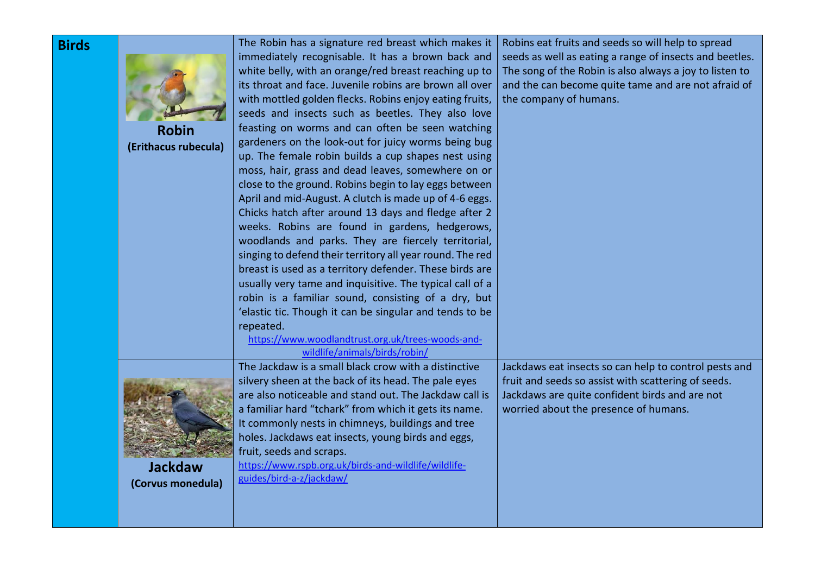| <b>Birds</b> | <b>Robin</b><br>(Erithacus rubecula) | The Robin has a signature red breast which makes it<br>immediately recognisable. It has a brown back and<br>white belly, with an orange/red breast reaching up to<br>its throat and face. Juvenile robins are brown all over<br>with mottled golden flecks. Robins enjoy eating fruits,<br>seeds and insects such as beetles. They also love<br>feasting on worms and can often be seen watching<br>gardeners on the look-out for juicy worms being bug<br>up. The female robin builds a cup shapes nest using<br>moss, hair, grass and dead leaves, somewhere on or<br>close to the ground. Robins begin to lay eggs between<br>April and mid-August. A clutch is made up of 4-6 eggs.<br>Chicks hatch after around 13 days and fledge after 2<br>weeks. Robins are found in gardens, hedgerows,<br>woodlands and parks. They are fiercely territorial,<br>singing to defend their territory all year round. The red<br>breast is used as a territory defender. These birds are<br>usually very tame and inquisitive. The typical call of a<br>robin is a familiar sound, consisting of a dry, but<br>'elastic tic. Though it can be singular and tends to be<br>repeated.<br>https://www.woodlandtrust.org.uk/trees-woods-and-<br>wildlife/animals/birds/robin/ | Robins eat fruits and seeds so will help to spread<br>seeds as well as eating a range of insects and beetles.<br>The song of the Robin is also always a joy to listen to<br>and the can become quite tame and are not afraid of<br>the company of humans. |
|--------------|--------------------------------------|-------------------------------------------------------------------------------------------------------------------------------------------------------------------------------------------------------------------------------------------------------------------------------------------------------------------------------------------------------------------------------------------------------------------------------------------------------------------------------------------------------------------------------------------------------------------------------------------------------------------------------------------------------------------------------------------------------------------------------------------------------------------------------------------------------------------------------------------------------------------------------------------------------------------------------------------------------------------------------------------------------------------------------------------------------------------------------------------------------------------------------------------------------------------------------------------------------------------------------------------------------------------|-----------------------------------------------------------------------------------------------------------------------------------------------------------------------------------------------------------------------------------------------------------|
|              | <b>Jackdaw</b><br>(Corvus monedula)  | The Jackdaw is a small black crow with a distinctive<br>silvery sheen at the back of its head. The pale eyes<br>are also noticeable and stand out. The Jackdaw call is<br>a familiar hard "tchark" from which it gets its name.<br>It commonly nests in chimneys, buildings and tree<br>holes. Jackdaws eat insects, young birds and eggs,<br>fruit, seeds and scraps.<br>https://www.rspb.org.uk/birds-and-wildlife/wildlife-<br>guides/bird-a-z/jackdaw/                                                                                                                                                                                                                                                                                                                                                                                                                                                                                                                                                                                                                                                                                                                                                                                                        | Jackdaws eat insects so can help to control pests and<br>fruit and seeds so assist with scattering of seeds.<br>Jackdaws are quite confident birds and are not<br>worried about the presence of humans.                                                   |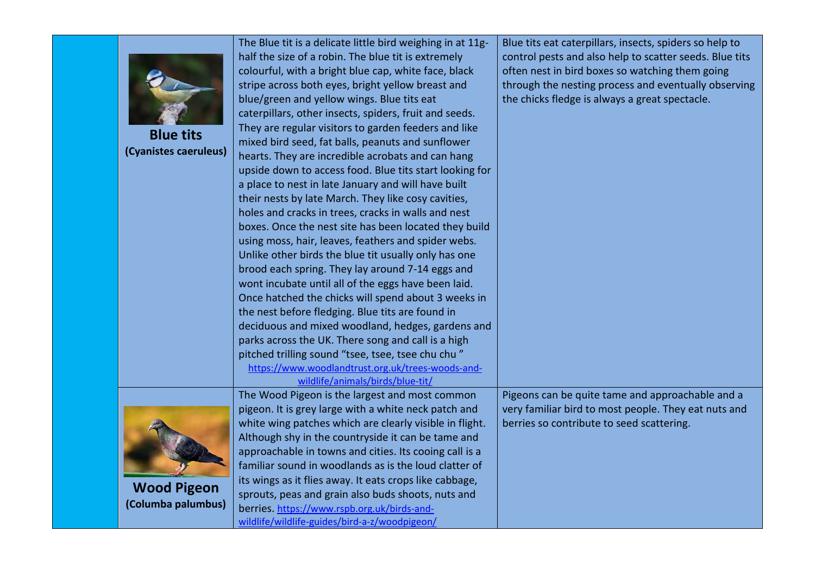| <b>Blue tits</b><br>(Cyanistes caeruleus) | The Blue tit is a delicate little bird weighing in at 11g-<br>half the size of a robin. The blue tit is extremely<br>colourful, with a bright blue cap, white face, black<br>stripe across both eyes, bright yellow breast and<br>blue/green and yellow wings. Blue tits eat<br>caterpillars, other insects, spiders, fruit and seeds.<br>They are regular visitors to garden feeders and like<br>mixed bird seed, fat balls, peanuts and sunflower<br>hearts. They are incredible acrobats and can hang<br>upside down to access food. Blue tits start looking for<br>a place to nest in late January and will have built<br>their nests by late March. They like cosy cavities,<br>holes and cracks in trees, cracks in walls and nest<br>boxes. Once the nest site has been located they build<br>using moss, hair, leaves, feathers and spider webs.<br>Unlike other birds the blue tit usually only has one<br>brood each spring. They lay around 7-14 eggs and<br>wont incubate until all of the eggs have been laid.<br>Once hatched the chicks will spend about 3 weeks in<br>the nest before fledging. Blue tits are found in<br>deciduous and mixed woodland, hedges, gardens and<br>parks across the UK. There song and call is a high<br>pitched trilling sound "tsee, tsee, tsee chu chu"<br>https://www.woodlandtrust.org.uk/trees-woods-and- | Blue tits eat caterpillars, insects, spiders so help to<br>control pests and also help to scatter seeds. Blue tits<br>often nest in bird boxes so watching them going<br>through the nesting process and eventually observing<br>the chicks fledge is always a great spectacle. |
|-------------------------------------------|-------------------------------------------------------------------------------------------------------------------------------------------------------------------------------------------------------------------------------------------------------------------------------------------------------------------------------------------------------------------------------------------------------------------------------------------------------------------------------------------------------------------------------------------------------------------------------------------------------------------------------------------------------------------------------------------------------------------------------------------------------------------------------------------------------------------------------------------------------------------------------------------------------------------------------------------------------------------------------------------------------------------------------------------------------------------------------------------------------------------------------------------------------------------------------------------------------------------------------------------------------------------------------------------------------------------------------------------------------------|---------------------------------------------------------------------------------------------------------------------------------------------------------------------------------------------------------------------------------------------------------------------------------|
|                                           | wildlife/animals/birds/blue-tit/<br>The Wood Pigeon is the largest and most common                                                                                                                                                                                                                                                                                                                                                                                                                                                                                                                                                                                                                                                                                                                                                                                                                                                                                                                                                                                                                                                                                                                                                                                                                                                                          | Pigeons can be quite tame and approachable and a                                                                                                                                                                                                                                |
| <b>Wood Pigeon</b><br>(Columba palumbus)  | pigeon. It is grey large with a white neck patch and<br>white wing patches which are clearly visible in flight.<br>Although shy in the countryside it can be tame and<br>approachable in towns and cities. Its cooing call is a<br>familiar sound in woodlands as is the loud clatter of<br>its wings as it flies away. It eats crops like cabbage,<br>sprouts, peas and grain also buds shoots, nuts and<br>berries. https://www.rspb.org.uk/birds-and-                                                                                                                                                                                                                                                                                                                                                                                                                                                                                                                                                                                                                                                                                                                                                                                                                                                                                                    | very familiar bird to most people. They eat nuts and<br>berries so contribute to seed scattering.                                                                                                                                                                               |
|                                           | wildlife/wildlife-guides/bird-a-z/woodpigeon/                                                                                                                                                                                                                                                                                                                                                                                                                                                                                                                                                                                                                                                                                                                                                                                                                                                                                                                                                                                                                                                                                                                                                                                                                                                                                                               |                                                                                                                                                                                                                                                                                 |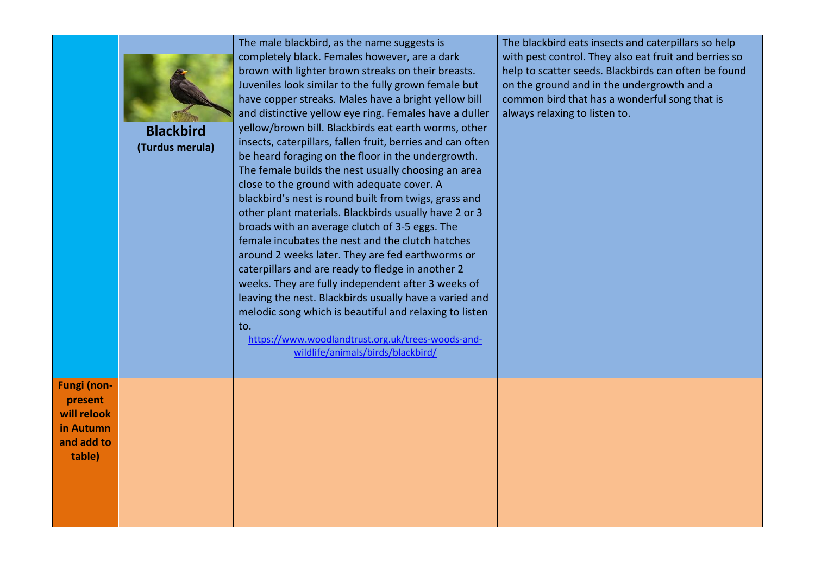|                               | <b>Blackbird</b><br>(Turdus merula) | The male blackbird, as the name suggests is<br>completely black. Females however, are a dark<br>brown with lighter brown streaks on their breasts.<br>Juveniles look similar to the fully grown female but<br>have copper streaks. Males have a bright yellow bill<br>and distinctive yellow eye ring. Females have a duller<br>yellow/brown bill. Blackbirds eat earth worms, other<br>insects, caterpillars, fallen fruit, berries and can often<br>be heard foraging on the floor in the undergrowth.<br>The female builds the nest usually choosing an area<br>close to the ground with adequate cover. A<br>blackbird's nest is round built from twigs, grass and<br>other plant materials. Blackbirds usually have 2 or 3<br>broads with an average clutch of 3-5 eggs. The<br>female incubates the nest and the clutch hatches<br>around 2 weeks later. They are fed earthworms or<br>caterpillars and are ready to fledge in another 2<br>weeks. They are fully independent after 3 weeks of<br>leaving the nest. Blackbirds usually have a varied and<br>melodic song which is beautiful and relaxing to listen<br>to.<br>https://www.woodlandtrust.org.uk/trees-woods-and-<br>wildlife/animals/birds/blackbird/ | The blackbird eats insects and caterpillars so help<br>with pest control. They also eat fruit and berries so<br>help to scatter seeds. Blackbirds can often be found<br>on the ground and in the undergrowth and a<br>common bird that has a wonderful song that is<br>always relaxing to listen to. |
|-------------------------------|-------------------------------------|---------------------------------------------------------------------------------------------------------------------------------------------------------------------------------------------------------------------------------------------------------------------------------------------------------------------------------------------------------------------------------------------------------------------------------------------------------------------------------------------------------------------------------------------------------------------------------------------------------------------------------------------------------------------------------------------------------------------------------------------------------------------------------------------------------------------------------------------------------------------------------------------------------------------------------------------------------------------------------------------------------------------------------------------------------------------------------------------------------------------------------------------------------------------------------------------------------------------------|------------------------------------------------------------------------------------------------------------------------------------------------------------------------------------------------------------------------------------------------------------------------------------------------------|
| <b>Fungi (non-</b><br>present |                                     |                                                                                                                                                                                                                                                                                                                                                                                                                                                                                                                                                                                                                                                                                                                                                                                                                                                                                                                                                                                                                                                                                                                                                                                                                           |                                                                                                                                                                                                                                                                                                      |
| will relook<br>in Autumn      |                                     |                                                                                                                                                                                                                                                                                                                                                                                                                                                                                                                                                                                                                                                                                                                                                                                                                                                                                                                                                                                                                                                                                                                                                                                                                           |                                                                                                                                                                                                                                                                                                      |
| and add to<br>table)          |                                     |                                                                                                                                                                                                                                                                                                                                                                                                                                                                                                                                                                                                                                                                                                                                                                                                                                                                                                                                                                                                                                                                                                                                                                                                                           |                                                                                                                                                                                                                                                                                                      |
|                               |                                     |                                                                                                                                                                                                                                                                                                                                                                                                                                                                                                                                                                                                                                                                                                                                                                                                                                                                                                                                                                                                                                                                                                                                                                                                                           |                                                                                                                                                                                                                                                                                                      |
|                               |                                     |                                                                                                                                                                                                                                                                                                                                                                                                                                                                                                                                                                                                                                                                                                                                                                                                                                                                                                                                                                                                                                                                                                                                                                                                                           |                                                                                                                                                                                                                                                                                                      |